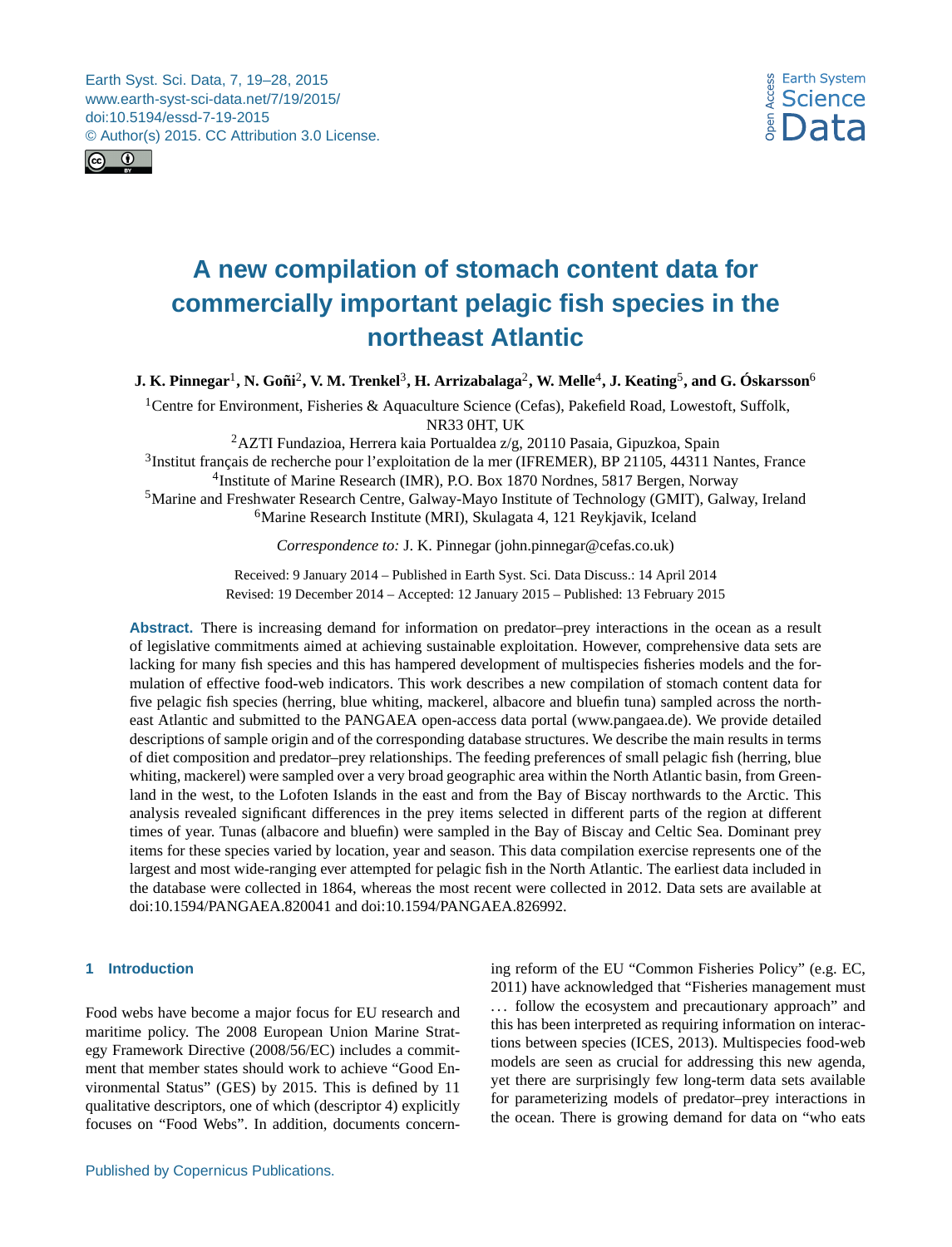<span id="page-0-1"></span>Earth Syst. Sci. Data, 7, 19–28, 2015 www.earth-syst-sci-data.net/7/19/2015/ doi:10.5194/essd-7-19-2015 © Author(s) 2015. CC Attribution 3.0 License.





# **A new compilation of stomach content data for commercially important pelagic fish species in the northeast Atlantic**

 $\bf J$ **. K. Pinnegar** $^1$  $^1$ **, N. Goñi** $^2$  $^2$ **, V. M. Trenkel** $^3$  $^3$ **, H. Arrizabalaga** $^2$ **, W. Melle** $^4$  $^4$ **, J. Keating** $^5$  $^5$ **, and G. Óskarsson** $^6$  $^6$ 

<sup>1</sup>Centre for Environment, Fisheries & Aquaculture Science (Cefas), Pakefield Road, Lowestoft, Suffolk, NR33 0HT, UK

<sup>2</sup>AZTI Fundazioa, Herrera kaia Portualdea z/g, 20110 Pasaia, Gipuzkoa, Spain <sup>3</sup>Institut français de recherche pour l'exploitation de la mer (IFREMER), BP 21105, 44311 Nantes, France <sup>4</sup>Institute of Marine Research (IMR), P.O. Box 1870 Nordnes, 5817 Bergen, Norway <sup>5</sup>Marine and Freshwater Research Centre, Galway-Mayo Institute of Technology (GMIT), Galway, Ireland <sup>6</sup>Marine Research Institute (MRI), Skulagata 4, 121 Reykjavik, Iceland

*Correspondence to:* J. K. Pinnegar (john.pinnegar@cefas.co.uk)

Received: 9 January 2014 – Published in Earth Syst. Sci. Data Discuss.: 14 April 2014 Revised: 19 December 2014 – Accepted: 12 January 2015 – Published: 13 February 2015

**Abstract.** There is increasing demand for information on predator–prey interactions in the ocean as a result of legislative commitments aimed at achieving sustainable exploitation. However, comprehensive data sets are lacking for many fish species and this has hampered development of multispecies fisheries models and the formulation of effective food-web indicators. This work describes a new compilation of stomach content data for five pelagic fish species (herring, blue whiting, mackerel, albacore and bluefin tuna) sampled across the northeast Atlantic and submitted to the PANGAEA open-access data portal [\(www.pangaea.de\)](www.pangaea.de). We provide detailed descriptions of sample origin and of the corresponding database structures. We describe the main results in terms of diet composition and predator–prey relationships. The feeding preferences of small pelagic fish (herring, blue whiting, mackerel) were sampled over a very broad geographic area within the North Atlantic basin, from Greenland in the west, to the Lofoten Islands in the east and from the Bay of Biscay northwards to the Arctic. This analysis revealed significant differences in the prey items selected in different parts of the region at different times of year. Tunas (albacore and bluefin) were sampled in the Bay of Biscay and Celtic Sea. Dominant prey items for these species varied by location, year and season. This data compilation exercise represents one of the largest and most wide-ranging ever attempted for pelagic fish in the North Atlantic. The earliest data included in the database were collected in 1864, whereas the most recent were collected in 2012. Data sets are available at doi[:10.1594/PANGAEA.820041](http://dx.doi.org/10.1594/PANGAEA.820041) and doi[:10.1594/PANGAEA.826992.](http://dx.doi.org/10.1594/PANGAEA.826992)

## <span id="page-0-0"></span>**1 Introduction**

Food webs have become a major focus for EU research and maritime policy. The 2008 European Union Marine Strategy Framework Directive (2008/56/EC) includes a commitment that member states should work to achieve "Good Environmental Status" (GES) by 2015. This is defined by 11 qualitative descriptors, one of which (descriptor 4) explicitly focuses on "Food Webs". In addition, documents concerning reform of the EU "Common Fisheries Policy" (e.g. EC, 2011) have acknowledged that "Fisheries management must . . . follow the ecosystem and precautionary approach" and this has been interpreted as requiring information on interactions between species (ICES, 2013). Multispecies food-web models are seen as crucial for addressing this new agenda, yet there are surprisingly few long-term data sets available for parameterizing models of predator–prey interactions in the ocean. There is growing demand for data on "who eats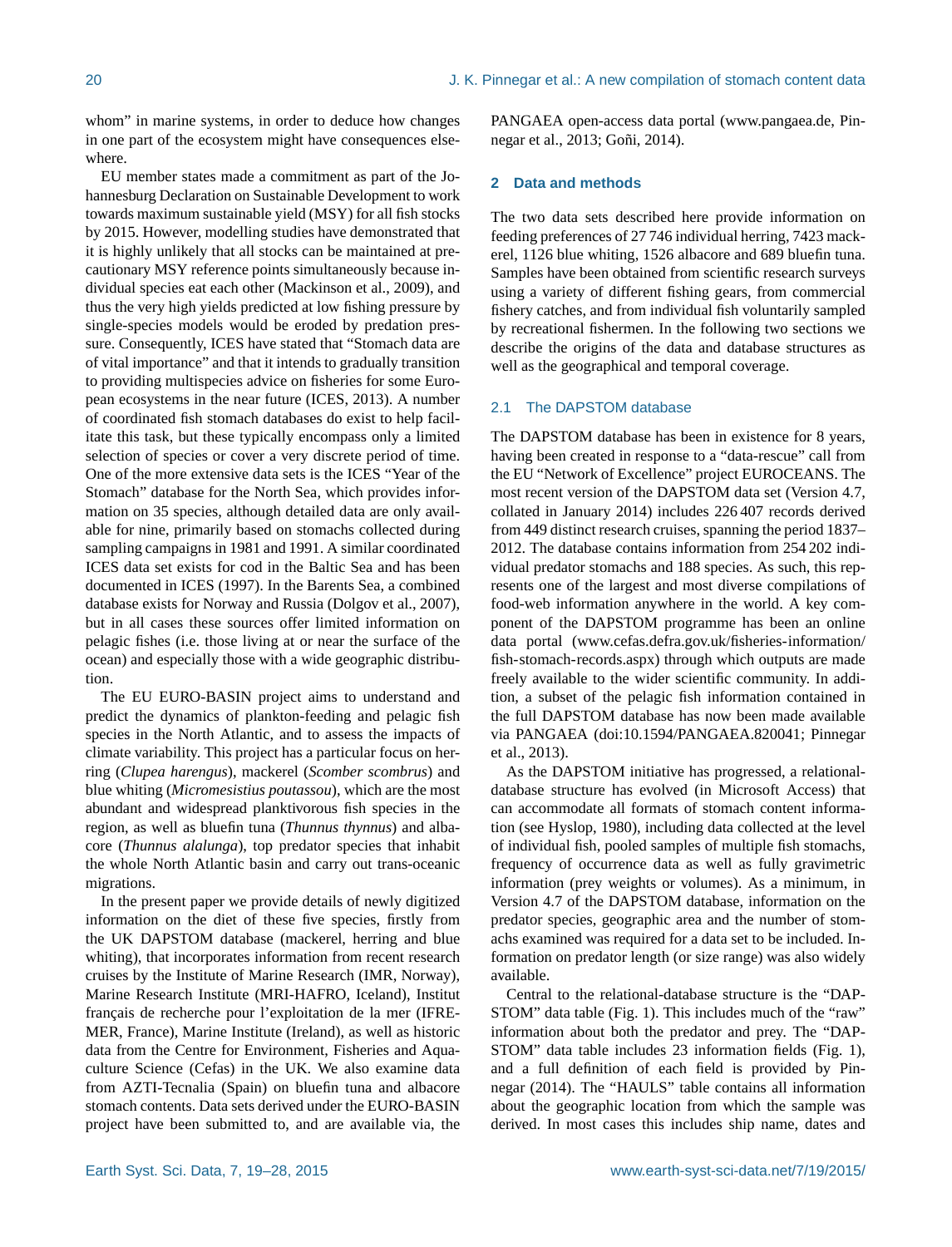whom" in marine systems, in order to deduce how changes in one part of the ecosystem might have consequences elsewhere.

EU member states made a commitment as part of the Johannesburg Declaration on Sustainable Development to work towards maximum sustainable yield (MSY) for all fish stocks by 2015. However, modelling studies have demonstrated that it is highly unlikely that all stocks can be maintained at precautionary MSY reference points simultaneously because individual species eat each other (Mackinson et al., 2009), and thus the very high yields predicted at low fishing pressure by single-species models would be eroded by predation pressure. Consequently, ICES have stated that "Stomach data are of vital importance" and that it intends to gradually transition to providing multispecies advice on fisheries for some European ecosystems in the near future (ICES, 2013). A number of coordinated fish stomach databases do exist to help facilitate this task, but these typically encompass only a limited selection of species or cover a very discrete period of time. One of the more extensive data sets is the ICES "Year of the Stomach" database for the North Sea, which provides information on 35 species, although detailed data are only available for nine, primarily based on stomachs collected during sampling campaigns in 1981 and 1991. A similar coordinated ICES data set exists for cod in the Baltic Sea and has been documented in ICES (1997). In the Barents Sea, a combined database exists for Norway and Russia (Dolgov et al., 2007), but in all cases these sources offer limited information on pelagic fishes (i.e. those living at or near the surface of the ocean) and especially those with a wide geographic distribution.

The EU EURO-BASIN project aims to understand and predict the dynamics of plankton-feeding and pelagic fish species in the North Atlantic, and to assess the impacts of climate variability. This project has a particular focus on herring (*Clupea harengus*), mackerel (*Scomber scombrus*) and blue whiting (*Micromesistius poutassou*), which are the most abundant and widespread planktivorous fish species in the region, as well as bluefin tuna (*Thunnus thynnus*) and albacore (*Thunnus alalunga*), top predator species that inhabit the whole North Atlantic basin and carry out trans-oceanic migrations.

In the present paper we provide details of newly digitized information on the diet of these five species, firstly from the UK DAPSTOM database (mackerel, herring and blue whiting), that incorporates information from recent research cruises by the Institute of Marine Research (IMR, Norway), Marine Research Institute (MRI-HAFRO, Iceland), Institut français de recherche pour l'exploitation de la mer (IFRE-MER, France), Marine Institute (Ireland), as well as historic data from the Centre for Environment, Fisheries and Aquaculture Science (Cefas) in the UK. We also examine data from AZTI-Tecnalia (Spain) on bluefin tuna and albacore stomach contents. Data sets derived under the EURO-BASIN project have been submitted to, and are available via, the PANGAEA open-access data portal [\(www.pangaea.de,](www.pangaea.de) Pinnegar et al., 2013; Goñi, 2014).

## **2 Data and methods**

The two data sets described here provide information on feeding preferences of 27 746 individual herring, 7423 mackerel, 1126 blue whiting, 1526 albacore and 689 bluefin tuna. Samples have been obtained from scientific research surveys using a variety of different fishing gears, from commercial fishery catches, and from individual fish voluntarily sampled by recreational fishermen. In the following two sections we describe the origins of the data and database structures as well as the geographical and temporal coverage.

## 2.1 The DAPSTOM database

The DAPSTOM database has been in existence for 8 years, having been created in response to a "data-rescue" call from the EU "Network of Excellence" project EUROCEANS. The most recent version of the DAPSTOM data set (Version 4.7, collated in January 2014) includes 226 407 records derived from 449 distinct research cruises, spanning the period 1837– 2012. The database contains information from 254 202 individual predator stomachs and 188 species. As such, this represents one of the largest and most diverse compilations of food-web information anywhere in the world. A key component of the DAPSTOM programme has been an online data portal [\(www.cefas.defra.gov.uk/fisheries-information/](www.cefas.defra.gov.uk/fisheries-information/fish-stomach-records.aspx) [fish-stomach-records.aspx\)](www.cefas.defra.gov.uk/fisheries-information/fish-stomach-records.aspx) through which outputs are made freely available to the wider scientific community. In addition, a subset of the pelagic fish information contained in the full DAPSTOM database has now been made available via PANGAEA (doi[:10.1594/PANGAEA.820041;](http://dx.doi.org/10.1594/PANGAEA.820041) Pinnegar et al., 2013).

As the DAPSTOM initiative has progressed, a relationaldatabase structure has evolved (in Microsoft Access) that can accommodate all formats of stomach content information (see Hyslop, 1980), including data collected at the level of individual fish, pooled samples of multiple fish stomachs, frequency of occurrence data as well as fully gravimetric information (prey weights or volumes). As a minimum, in Version 4.7 of the DAPSTOM database, information on the predator species, geographic area and the number of stomachs examined was required for a data set to be included. Information on predator length (or size range) was also widely available.

Central to the relational-database structure is the "DAP-STOM" data table (Fig. 1). This includes much of the "raw" information about both the predator and prey. The "DAP-STOM" data table includes 23 information fields (Fig. 1), and a full definition of each field is provided by Pinnegar (2014). The "HAULS" table contains all information about the geographic location from which the sample was derived. In most cases this includes ship name, dates and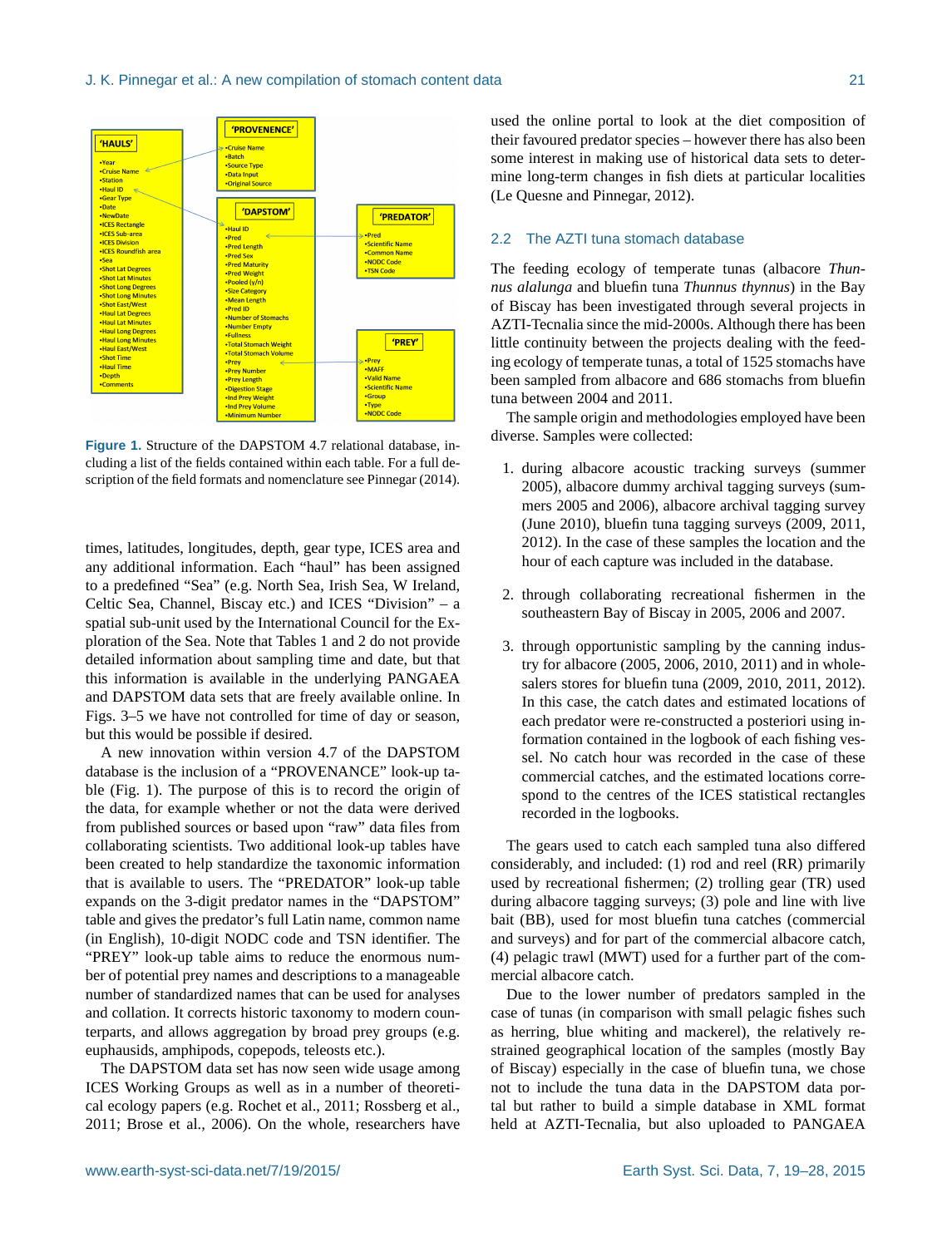

**Figure 1.** Structure of the DAPSTOM 4.7 relational database, including a list of the fields contained within each table. For a full description of the field formats and nomenclature see Pinnegar (2014).

times, latitudes, longitudes, depth, gear type, ICES area and any additional information. Each "haul" has been assigned to a predefined "Sea" (e.g. North Sea, Irish Sea, W Ireland, Celtic Sea, Channel, Biscay etc.) and ICES "Division" – a spatial sub-unit used by the International Council for the Exploration of the Sea. Note that Tables 1 and 2 do not provide detailed information about sampling time and date, but that this information is available in the underlying PANGAEA and DAPSTOM data sets that are freely available online. In Figs. 3–5 we have not controlled for time of day or season, but this would be possible if desired.

A new innovation within version 4.7 of the DAPSTOM database is the inclusion of a "PROVENANCE" look-up table (Fig. 1). The purpose of this is to record the origin of the data, for example whether or not the data were derived from published sources or based upon "raw" data files from collaborating scientists. Two additional look-up tables have been created to help standardize the taxonomic information that is available to users. The "PREDATOR" look-up table expands on the 3-digit predator names in the "DAPSTOM" table and gives the predator's full Latin name, common name (in English), 10-digit NODC code and TSN identifier. The "PREY" look-up table aims to reduce the enormous number of potential prey names and descriptions to a manageable number of standardized names that can be used for analyses and collation. It corrects historic taxonomy to modern counterparts, and allows aggregation by broad prey groups (e.g. euphausids, amphipods, copepods, teleosts etc.).

The DAPSTOM data set has now seen wide usage among ICES Working Groups as well as in a number of theoretical ecology papers (e.g. Rochet et al., 2011; Rossberg et al., 2011; Brose et al., 2006). On the whole, researchers have used the online portal to look at the diet composition of their favoured predator species – however there has also been some interest in making use of historical data sets to determine long-term changes in fish diets at particular localities (Le Quesne and Pinnegar, 2012).

#### 2.2 The AZTI tuna stomach database

The feeding ecology of temperate tunas (albacore *Thunnus alalunga* and bluefin tuna *Thunnus thynnus*) in the Bay of Biscay has been investigated through several projects in AZTI-Tecnalia since the mid-2000s. Although there has been little continuity between the projects dealing with the feeding ecology of temperate tunas, a total of 1525 stomachs have been sampled from albacore and 686 stomachs from bluefin tuna between 2004 and 2011.

The sample origin and methodologies employed have been diverse. Samples were collected:

- 1. during albacore acoustic tracking surveys (summer 2005), albacore dummy archival tagging surveys (summers 2005 and 2006), albacore archival tagging survey (June 2010), bluefin tuna tagging surveys (2009, 2011, 2012). In the case of these samples the location and the hour of each capture was included in the database.
- 2. through collaborating recreational fishermen in the southeastern Bay of Biscay in 2005, 2006 and 2007.
- 3. through opportunistic sampling by the canning industry for albacore (2005, 2006, 2010, 2011) and in wholesalers stores for bluefin tuna (2009, 2010, 2011, 2012). In this case, the catch dates and estimated locations of each predator were re-constructed a posteriori using information contained in the logbook of each fishing vessel. No catch hour was recorded in the case of these commercial catches, and the estimated locations correspond to the centres of the ICES statistical rectangles recorded in the logbooks.

The gears used to catch each sampled tuna also differed considerably, and included: (1) rod and reel (RR) primarily used by recreational fishermen; (2) trolling gear (TR) used during albacore tagging surveys; (3) pole and line with live bait (BB), used for most bluefin tuna catches (commercial and surveys) and for part of the commercial albacore catch, (4) pelagic trawl (MWT) used for a further part of the commercial albacore catch.

Due to the lower number of predators sampled in the case of tunas (in comparison with small pelagic fishes such as herring, blue whiting and mackerel), the relatively restrained geographical location of the samples (mostly Bay of Biscay) especially in the case of bluefin tuna, we chose not to include the tuna data in the DAPSTOM data portal but rather to build a simple database in XML format held at AZTI-Tecnalia, but also uploaded to PANGAEA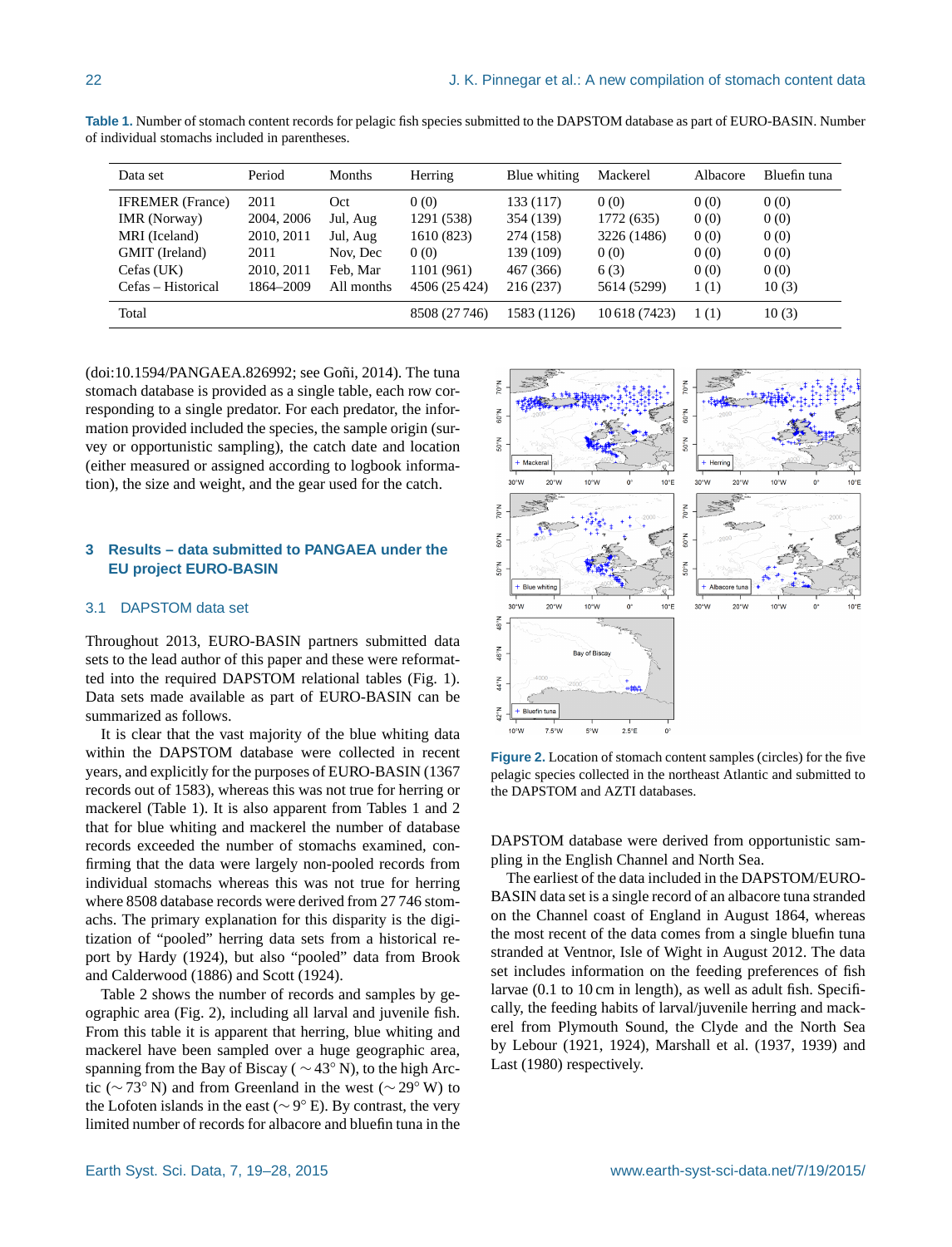| Table 1. Number of stomach content records for pelagic fish species submitted to the DAPSTOM database as part of EURO-BASIN. Number<br>of individual stomachs included in parentheses. |        |               |         |                       |  |  |                       |  |
|----------------------------------------------------------------------------------------------------------------------------------------------------------------------------------------|--------|---------------|---------|-----------------------|--|--|-----------------------|--|
| Data set                                                                                                                                                                               | Period | <b>Months</b> | Herring | Blue whiting Mackerel |  |  | Albacore Bluefin tuna |  |

| Data set                | Period     | <b>Months</b> | Herring       | Blue whiting | Mackerel      | Albacore | Bluefin tuna |
|-------------------------|------------|---------------|---------------|--------------|---------------|----------|--------------|
| <b>IFREMER</b> (France) | 2011       | Oct.          | 0(0)          | 133 (117)    | 0(0)          | 0(0)     | 0(0)         |
| <b>IMR</b> (Norway)     | 2004, 2006 | Jul, Aug      | 1291 (538)    | 354 (139)    | 1772 (635)    | 0(0)     | 0(0)         |
| MRI (Iceland)           | 2010, 2011 | Jul, Aug      | 1610 (823)    | 274 (158)    | 3226 (1486)   | 0(0)     | 0(0)         |
| GMIT (Ireland)          | 2011       | Nov, Dec      | 0(0)          | 139 (109)    | 0(0)          | 0(0)     | 0(0)         |
| Cefas(UK)               | 2010, 2011 | Feb. Mar      | 1101 (961)    | 467 (366)    | 6(3)          | 0(0)     | 0(0)         |
| Cefas – Historical      | 1864–2009  | All months    | 4506 (25 424) | 216(237)     | 5614 (5299)   | 1(1)     | 10(3)        |
| Total                   |            |               | 8508 (27 746) | 1583 (1126)  | 10 618 (7423) | 1(1)     | 10(3)        |

(doi[:10.1594/PANGAEA.826992;](http://dx.doi.org/10.1594/PANGAEA.826992) see Goñi, 2014). The tuna stomach database is provided as a single table, each row corresponding to a single predator. For each predator, the information provided included the species, the sample origin (survey or opportunistic sampling), the catch date and location (either measured or assigned according to logbook information), the size and weight, and the gear used for the catch.

## **3 Results – data submitted to PANGAEA under the EU project EURO-BASIN**

## 3.1 DAPSTOM data set

Throughout 2013, EURO-BASIN partners submitted data sets to the lead author of this paper and these were reformatted into the required DAPSTOM relational tables (Fig. 1). Data sets made available as part of EURO-BASIN can be summarized as follows.

It is clear that the vast majority of the blue whiting data within the DAPSTOM database were collected in recent years, and explicitly for the purposes of EURO-BASIN (1367 records out of 1583), whereas this was not true for herring or mackerel (Table 1). It is also apparent from Tables 1 and 2 that for blue whiting and mackerel the number of database records exceeded the number of stomachs examined, confirming that the data were largely non-pooled records from individual stomachs whereas this was not true for herring where 8508 database records were derived from 27 746 stomachs. The primary explanation for this disparity is the digitization of "pooled" herring data sets from a historical report by Hardy (1924), but also "pooled" data from Brook and Calderwood (1886) and Scott (1924).

Table 2 shows the number of records and samples by geographic area (Fig. 2), including all larval and juvenile fish. From this table it is apparent that herring, blue whiting and mackerel have been sampled over a huge geographic area, spanning from the Bay of Biscay ( $\sim$  43° N), to the high Arctic (∼73° N) and from Greenland in the west (∼ 29° W) to the Lofoten islands in the east ( $\sim$  9° E). By contrast, the very limited number of records for albacore and bluefin tuna in the



**Figure 2.** Location of stomach content samples (circles) for the five pelagic species collected in the northeast Atlantic and submitted to the DAPSTOM and AZTI databases.

DAPSTOM database were derived from opportunistic sampling in the English Channel and North Sea.

The earliest of the data included in the DAPSTOM/EURO-BASIN data set is a single record of an albacore tuna stranded on the Channel coast of England in August 1864, whereas the most recent of the data comes from a single bluefin tuna stranded at Ventnor, Isle of Wight in August 2012. The data set includes information on the feeding preferences of fish larvae (0.1 to 10 cm in length), as well as adult fish. Specifically, the feeding habits of larval/juvenile herring and mackerel from Plymouth Sound, the Clyde and the North Sea by Lebour (1921, 1924), Marshall et al. (1937, 1939) and Last (1980) respectively.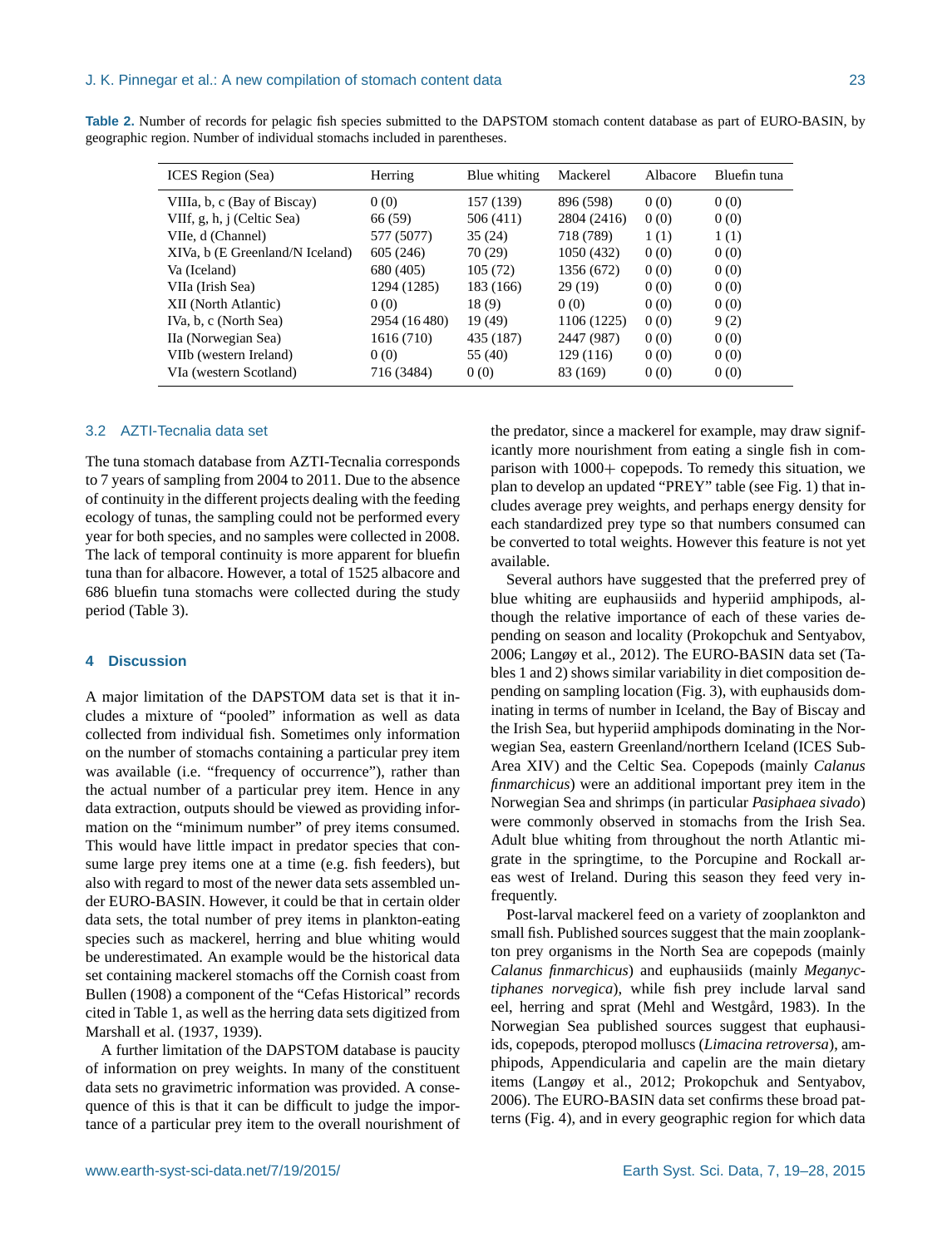| <b>ICES</b> Region (Sea)        | Herring      | Blue whiting | Mackerel    | Albacore | Bluefin tuna |
|---------------------------------|--------------|--------------|-------------|----------|--------------|
| VIIIa, b, c (Bay of Biscay)     | 0(0)         | 157 (139)    | 896 (598)   | 0(0)     | 0(0)         |
| VIIf, g, h, j (Celtic Sea)      | 66 (59)      | 506 (411)    | 2804 (2416) | 0(0)     | 0(0)         |
| VIIe, d (Channel)               | 577 (5077)   | 35(24)       | 718 (789)   | 1(1)     | 1(1)         |
| XIVa, b (E Greenland/N Iceland) | 605(246)     | 70(29)       | 1050 (432)  | 0(0)     | 0(0)         |
| Va (Iceland)                    | 680 (405)    | 105(72)      | 1356 (672)  | 0(0)     | 0(0)         |
| VIIa (Irish Sea)                | 1294 (1285)  | 183 (166)    | 29(19)      | 0(0)     | 0(0)         |
| XII (North Atlantic)            | 0(0)         | 18(9)        | 0(0)        | 0(0)     | 0(0)         |
| IVa, b, c (North Sea)           | 2954 (16480) | 19(49)       | 1106 (1225) | 0(0)     | 9(2)         |
| IIa (Norwegian Sea)             | 1616 (710)   | 435 (187)    | 2447 (987)  | 0(0)     | 0(0)         |
| VIIb (western Ireland)          | 0(0)         | 55 (40)      | 129 (116)   | 0(0)     | 0(0)         |
| VIa (western Scotland)          | 716 (3484)   | 0(0)         | 83 (169)    | 0(0)     | 0(0)         |

**Table 2.** Number of records for pelagic fish species submitted to the DAPSTOM stomach content database as part of EURO-BASIN, by geographic region. Number of individual stomachs included in parentheses.

#### 3.2 AZTI-Tecnalia data set

The tuna stomach database from AZTI-Tecnalia corresponds to 7 years of sampling from 2004 to 2011. Due to the absence of continuity in the different projects dealing with the feeding ecology of tunas, the sampling could not be performed every year for both species, and no samples were collected in 2008. The lack of temporal continuity is more apparent for bluefin tuna than for albacore. However, a total of 1525 albacore and 686 bluefin tuna stomachs were collected during the study period (Table 3).

## **4 Discussion**

A major limitation of the DAPSTOM data set is that it includes a mixture of "pooled" information as well as data collected from individual fish. Sometimes only information on the number of stomachs containing a particular prey item was available (i.e. "frequency of occurrence"), rather than the actual number of a particular prey item. Hence in any data extraction, outputs should be viewed as providing information on the "minimum number" of prey items consumed. This would have little impact in predator species that consume large prey items one at a time (e.g. fish feeders), but also with regard to most of the newer data sets assembled under EURO-BASIN. However, it could be that in certain older data sets, the total number of prey items in plankton-eating species such as mackerel, herring and blue whiting would be underestimated. An example would be the historical data set containing mackerel stomachs off the Cornish coast from Bullen (1908) a component of the "Cefas Historical" records cited in Table 1, as well as the herring data sets digitized from Marshall et al. (1937, 1939).

A further limitation of the DAPSTOM database is paucity of information on prey weights. In many of the constituent data sets no gravimetric information was provided. A consequence of this is that it can be difficult to judge the importance of a particular prey item to the overall nourishment of the predator, since a mackerel for example, may draw significantly more nourishment from eating a single fish in comparison with 1000+ copepods. To remedy this situation, we plan to develop an updated "PREY" table (see Fig. 1) that includes average prey weights, and perhaps energy density for each standardized prey type so that numbers consumed can be converted to total weights. However this feature is not yet available.

Several authors have suggested that the preferred prey of blue whiting are euphausiids and hyperiid amphipods, although the relative importance of each of these varies depending on season and locality (Prokopchuk and Sentyabov, 2006; Langøy et al., 2012). The EURO-BASIN data set (Tables 1 and 2) shows similar variability in diet composition depending on sampling location (Fig. 3), with euphausids dominating in terms of number in Iceland, the Bay of Biscay and the Irish Sea, but hyperiid amphipods dominating in the Norwegian Sea, eastern Greenland/northern Iceland (ICES Sub-Area XIV) and the Celtic Sea. Copepods (mainly *Calanus finmarchicus*) were an additional important prey item in the Norwegian Sea and shrimps (in particular *Pasiphaea sivado*) were commonly observed in stomachs from the Irish Sea. Adult blue whiting from throughout the north Atlantic migrate in the springtime, to the Porcupine and Rockall areas west of Ireland. During this season they feed very infrequently.

Post-larval mackerel feed on a variety of zooplankton and small fish. Published sources suggest that the main zooplankton prey organisms in the North Sea are copepods (mainly *Calanus finmarchicus*) and euphausiids (mainly *Meganyctiphanes norvegica*), while fish prey include larval sand eel, herring and sprat (Mehl and Westgård, 1983). In the Norwegian Sea published sources suggest that euphausiids, copepods, pteropod molluscs (*Limacina retroversa*), amphipods, Appendicularia and capelin are the main dietary items (Langøy et al., 2012; Prokopchuk and Sentyabov, 2006). The EURO-BASIN data set confirms these broad patterns (Fig. 4), and in every geographic region for which data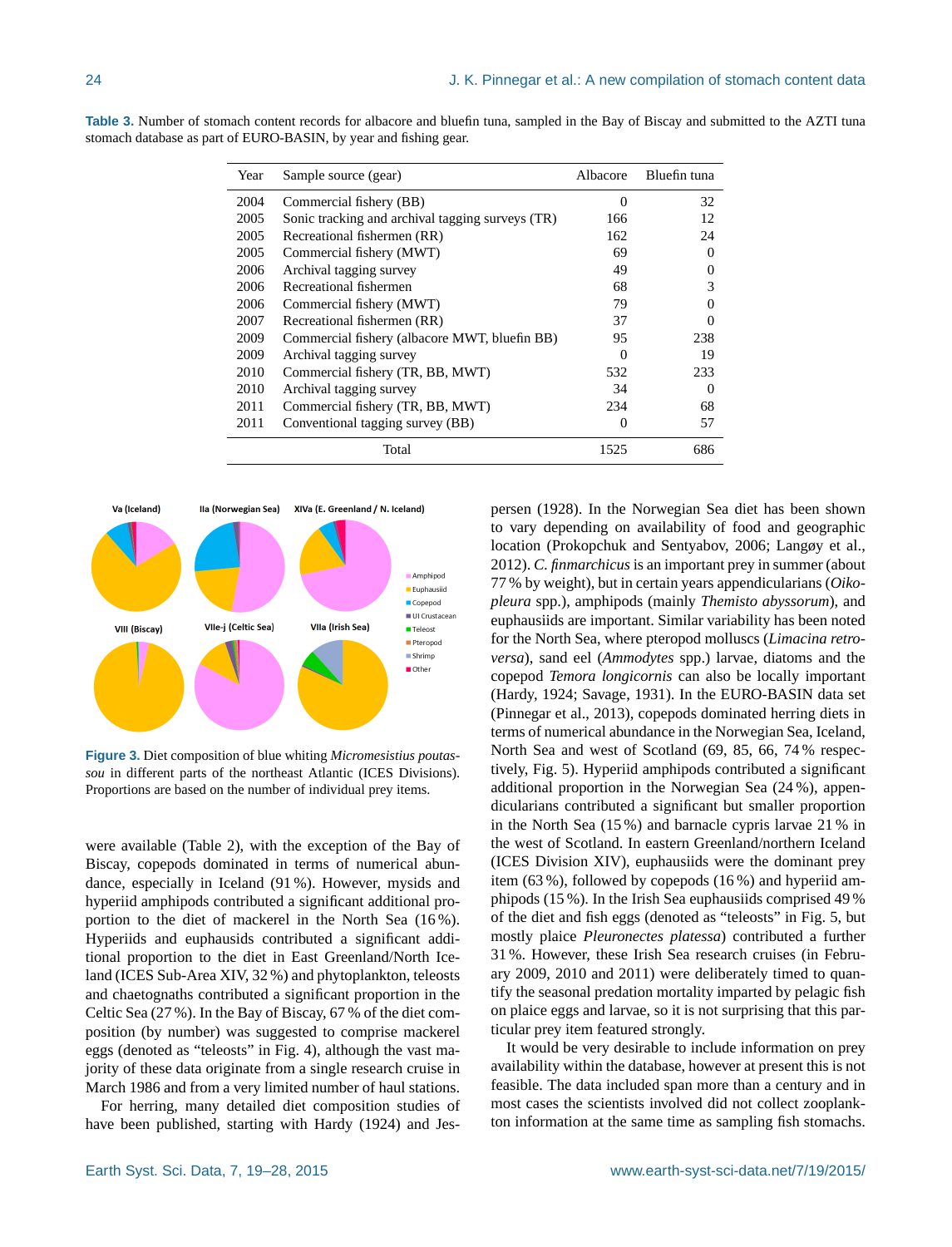| Year | Sample source (gear)                             | Albacore | Bluefin tuna |
|------|--------------------------------------------------|----------|--------------|
| 2004 | Commercial fishery (BB)                          | $\Omega$ | 32           |
| 2005 | Sonic tracking and archival tagging surveys (TR) | 166      | 12           |
| 2005 | Recreational fishermen (RR)                      | 162      | 24           |
| 2005 | Commercial fishery (MWT)                         | 69       | 0            |
| 2006 | Archival tagging survey                          | 49       | 0            |
| 2006 | Recreational fishermen                           | 68       | 3            |
| 2006 | Commercial fishery (MWT)                         | 79       | 0            |
| 2007 | Recreational fishermen (RR)                      | 37       | 0            |
| 2009 | Commercial fishery (albacore MWT, bluefin BB)    | 95       | 238          |
| 2009 | Archival tagging survey                          | 0        | 19           |
| 2010 | Commercial fishery (TR, BB, MWT)                 | 532      | 233          |
| 2010 | Archival tagging survey                          | 34       | 0            |
| 2011 | Commercial fishery (TR, BB, MWT)                 | 234      | 68           |
| 2011 | Conventional tagging survey (BB)                 | 0        | 57           |
|      | Total                                            | 1525     | 686          |

**Table 3.** Number of stomach content records for albacore and bluefin tuna, sampled in the Bay of Biscay and submitted to the AZTI tuna stomach database as part of EURO-BASIN, by year and fishing gear.



**Figure 3.** Diet composition of blue whiting *Micromesistius poutassou* in different parts of the northeast Atlantic (ICES Divisions). Proportions are based on the number of individual prey items.

were available (Table 2), with the exception of the Bay of Biscay, copepods dominated in terms of numerical abundance, especially in Iceland (91 %). However, mysids and hyperiid amphipods contributed a significant additional proportion to the diet of mackerel in the North Sea (16 %). Hyperiids and euphausids contributed a significant additional proportion to the diet in East Greenland/North Iceland (ICES Sub-Area XIV, 32 %) and phytoplankton, teleosts and chaetognaths contributed a significant proportion in the Celtic Sea (27 %). In the Bay of Biscay, 67 % of the diet composition (by number) was suggested to comprise mackerel eggs (denoted as "teleosts" in Fig. 4), although the vast majority of these data originate from a single research cruise in March 1986 and from a very limited number of haul stations.

For herring, many detailed diet composition studies of have been published, starting with Hardy (1924) and Jes-

persen (1928). In the Norwegian Sea diet has been shown to vary depending on availability of food and geographic location (Prokopchuk and Sentyabov, 2006; Langøy et al., 2012). *C. finmarchicus* is an important prey in summer (about 77 % by weight), but in certain years appendicularians (*Oikopleura* spp.), amphipods (mainly *Themisto abyssorum*), and euphausiids are important. Similar variability has been noted for the North Sea, where pteropod molluscs (*Limacina retroversa*), sand eel (*Ammodytes* spp.) larvae, diatoms and the copepod *Temora longicornis* can also be locally important (Hardy, 1924; Savage, 1931). In the EURO-BASIN data set (Pinnegar et al., 2013), copepods dominated herring diets in terms of numerical abundance in the Norwegian Sea, Iceland, North Sea and west of Scotland (69, 85, 66, 74 % respectively, Fig. 5). Hyperiid amphipods contributed a significant additional proportion in the Norwegian Sea (24 %), appendicularians contributed a significant but smaller proportion in the North Sea (15 %) and barnacle cypris larvae 21 % in the west of Scotland. In eastern Greenland/northern Iceland (ICES Division XIV), euphausiids were the dominant prey item (63 %), followed by copepods (16 %) and hyperiid amphipods (15 %). In the Irish Sea euphausiids comprised 49 % of the diet and fish eggs (denoted as "teleosts" in Fig. 5, but mostly plaice *Pleuronectes platessa*) contributed a further 31 %. However, these Irish Sea research cruises (in February 2009, 2010 and 2011) were deliberately timed to quantify the seasonal predation mortality imparted by pelagic fish on plaice eggs and larvae, so it is not surprising that this particular prey item featured strongly.

It would be very desirable to include information on prey availability within the database, however at present this is not feasible. The data included span more than a century and in most cases the scientists involved did not collect zooplankton information at the same time as sampling fish stomachs.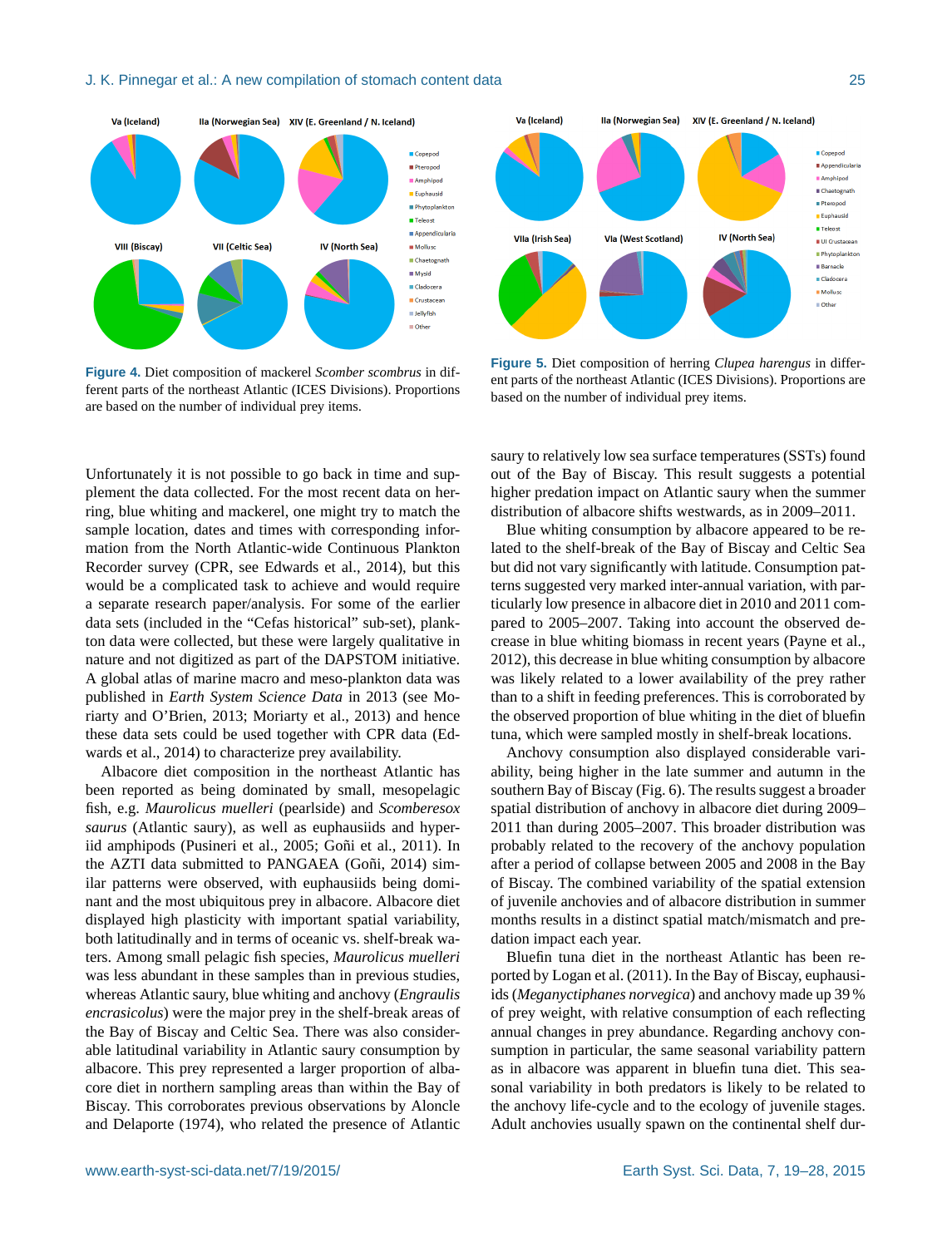

**Figure 4.** Diet composition of mackerel *Scomber scombrus* in different parts of the northeast Atlantic (ICES Divisions). Proportions are based on the number of individual prey items.

Unfortunately it is not possible to go back in time and supplement the data collected. For the most recent data on herring, blue whiting and mackerel, one might try to match the sample location, dates and times with corresponding information from the North Atlantic-wide Continuous Plankton Recorder survey (CPR, see Edwards et al., 2014), but this would be a complicated task to achieve and would require a separate research paper/analysis. For some of the earlier data sets (included in the "Cefas historical" sub-set), plankton data were collected, but these were largely qualitative in nature and not digitized as part of the DAPSTOM initiative. A global atlas of marine macro and meso-plankton data was published in *Earth System Science Data* in 2013 (see Moriarty and O'Brien, 2013; Moriarty et al., 2013) and hence these data sets could be used together with CPR data (Edwards et al., 2014) to characterize prey availability.

Albacore diet composition in the northeast Atlantic has been reported as being dominated by small, mesopelagic fish, e.g. *Maurolicus muelleri* (pearlside) and *Scomberesox saurus* (Atlantic saury), as well as euphausiids and hyperiid amphipods (Pusineri et al., 2005; Goñi et al., 2011). In the AZTI data submitted to PANGAEA (Goñi, 2014) similar patterns were observed, with euphausiids being dominant and the most ubiquitous prey in albacore. Albacore diet displayed high plasticity with important spatial variability, both latitudinally and in terms of oceanic vs. shelf-break waters. Among small pelagic fish species, *Maurolicus muelleri* was less abundant in these samples than in previous studies, whereas Atlantic saury, blue whiting and anchovy (*Engraulis encrasicolus*) were the major prey in the shelf-break areas of the Bay of Biscay and Celtic Sea. There was also considerable latitudinal variability in Atlantic saury consumption by albacore. This prey represented a larger proportion of albacore diet in northern sampling areas than within the Bay of Biscay. This corroborates previous observations by Aloncle and Delaporte (1974), who related the presence of Atlantic



**Figure 5.** Diet composition of herring *Clupea harengus* in different parts of the northeast Atlantic (ICES Divisions). Proportions are based on the number of individual prey items.

saury to relatively low sea surface temperatures (SSTs) found out of the Bay of Biscay. This result suggests a potential higher predation impact on Atlantic saury when the summer distribution of albacore shifts westwards, as in 2009–2011.

Blue whiting consumption by albacore appeared to be related to the shelf-break of the Bay of Biscay and Celtic Sea but did not vary significantly with latitude. Consumption patterns suggested very marked inter-annual variation, with particularly low presence in albacore diet in 2010 and 2011 compared to 2005–2007. Taking into account the observed decrease in blue whiting biomass in recent years (Payne et al., 2012), this decrease in blue whiting consumption by albacore was likely related to a lower availability of the prey rather than to a shift in feeding preferences. This is corroborated by the observed proportion of blue whiting in the diet of bluefin tuna, which were sampled mostly in shelf-break locations.

Anchovy consumption also displayed considerable variability, being higher in the late summer and autumn in the southern Bay of Biscay (Fig. 6). The results suggest a broader spatial distribution of anchovy in albacore diet during 2009– 2011 than during 2005–2007. This broader distribution was probably related to the recovery of the anchovy population after a period of collapse between 2005 and 2008 in the Bay of Biscay. The combined variability of the spatial extension of juvenile anchovies and of albacore distribution in summer months results in a distinct spatial match/mismatch and predation impact each year.

Bluefin tuna diet in the northeast Atlantic has been reported by Logan et al. (2011). In the Bay of Biscay, euphausiids (*Meganyctiphanes norvegica*) and anchovy made up 39 % of prey weight, with relative consumption of each reflecting annual changes in prey abundance. Regarding anchovy consumption in particular, the same seasonal variability pattern as in albacore was apparent in bluefin tuna diet. This seasonal variability in both predators is likely to be related to the anchovy life-cycle and to the ecology of juvenile stages. Adult anchovies usually spawn on the continental shelf dur-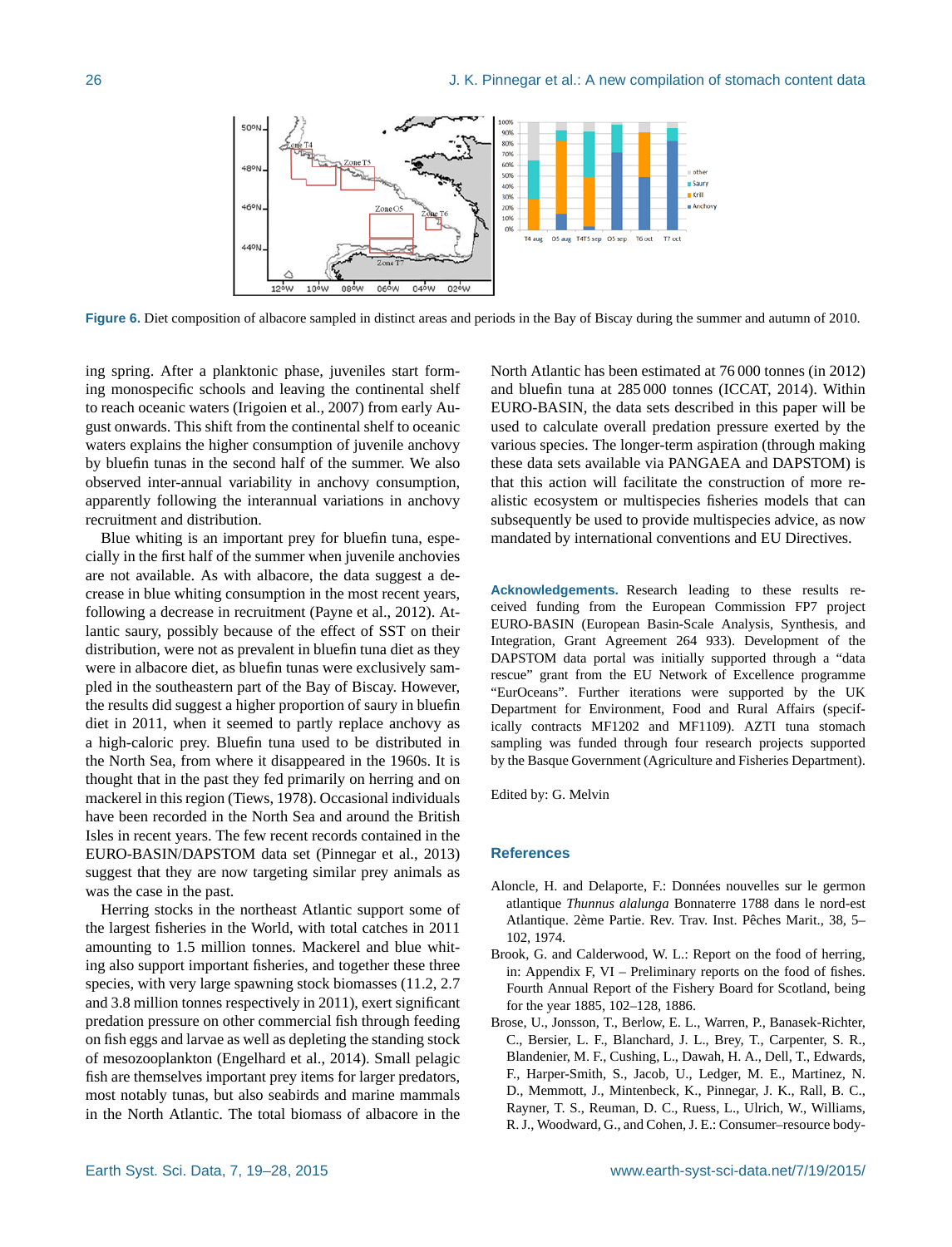

**Figure 6.** Diet composition of albacore sampled in distinct areas and periods in the Bay of Biscay during the summer and autumn of 2010.

ing spring. After a planktonic phase, juveniles start forming monospecific schools and leaving the continental shelf to reach oceanic waters (Irigoien et al., 2007) from early August onwards. This shift from the continental shelf to oceanic waters explains the higher consumption of juvenile anchovy by bluefin tunas in the second half of the summer. We also observed inter-annual variability in anchovy consumption, apparently following the interannual variations in anchovy recruitment and distribution.

Blue whiting is an important prey for bluefin tuna, especially in the first half of the summer when juvenile anchovies are not available. As with albacore, the data suggest a decrease in blue whiting consumption in the most recent years, following a decrease in recruitment (Payne et al., 2012). Atlantic saury, possibly because of the effect of SST on their distribution, were not as prevalent in bluefin tuna diet as they were in albacore diet, as bluefin tunas were exclusively sampled in the southeastern part of the Bay of Biscay. However, the results did suggest a higher proportion of saury in bluefin diet in 2011, when it seemed to partly replace anchovy as a high-caloric prey. Bluefin tuna used to be distributed in the North Sea, from where it disappeared in the 1960s. It is thought that in the past they fed primarily on herring and on mackerel in this region (Tiews, 1978). Occasional individuals have been recorded in the North Sea and around the British Isles in recent years. The few recent records contained in the EURO-BASIN/DAPSTOM data set (Pinnegar et al., 2013) suggest that they are now targeting similar prey animals as was the case in the past.

Herring stocks in the northeast Atlantic support some of the largest fisheries in the World, with total catches in 2011 amounting to 1.5 million tonnes. Mackerel and blue whiting also support important fisheries, and together these three species, with very large spawning stock biomasses (11.2, 2.7 and 3.8 million tonnes respectively in 2011), exert significant predation pressure on other commercial fish through feeding on fish eggs and larvae as well as depleting the standing stock of mesozooplankton (Engelhard et al., 2014). Small pelagic fish are themselves important prey items for larger predators, most notably tunas, but also seabirds and marine mammals in the North Atlantic. The total biomass of albacore in the

North Atlantic has been estimated at 76 000 tonnes (in 2012) and bluefin tuna at 285 000 tonnes (ICCAT, 2014). Within EURO-BASIN, the data sets described in this paper will be used to calculate overall predation pressure exerted by the various species. The longer-term aspiration (through making these data sets available via PANGAEA and DAPSTOM) is that this action will facilitate the construction of more realistic ecosystem or multispecies fisheries models that can subsequently be used to provide multispecies advice, as now mandated by international conventions and EU Directives.

**Acknowledgements.** Research leading to these results received funding from the European Commission FP7 project EURO-BASIN (European Basin-Scale Analysis, Synthesis, and Integration, Grant Agreement 264 933). Development of the DAPSTOM data portal was initially supported through a "data rescue" grant from the EU Network of Excellence programme "EurOceans". Further iterations were supported by the UK Department for Environment, Food and Rural Affairs (specifically contracts MF1202 and MF1109). AZTI tuna stomach sampling was funded through four research projects supported by the Basque Government (Agriculture and Fisheries Department).

Edited by: G. Melvin

## **References**

- Aloncle, H. and Delaporte, F.: Données nouvelles sur le germon atlantique *Thunnus alalunga* Bonnaterre 1788 dans le nord-est Atlantique. 2ème Partie. Rev. Trav. Inst. Pêches Marit., 38, 5– 102, 1974.
- Brook, G. and Calderwood, W. L.: Report on the food of herring, in: Appendix F, VI – Preliminary reports on the food of fishes. Fourth Annual Report of the Fishery Board for Scotland, being for the year 1885, 102–128, 1886.
- Brose, U., Jonsson, T., Berlow, E. L., Warren, P., Banasek-Richter, C., Bersier, L. F., Blanchard, J. L., Brey, T., Carpenter, S. R., Blandenier, M. F., Cushing, L., Dawah, H. A., Dell, T., Edwards, F., Harper-Smith, S., Jacob, U., Ledger, M. E., Martinez, N. D., Memmott, J., Mintenbeck, K., Pinnegar, J. K., Rall, B. C., Rayner, T. S., Reuman, D. C., Ruess, L., Ulrich, W., Williams, R. J., Woodward, G., and Cohen, J. E.: Consumer–resource body-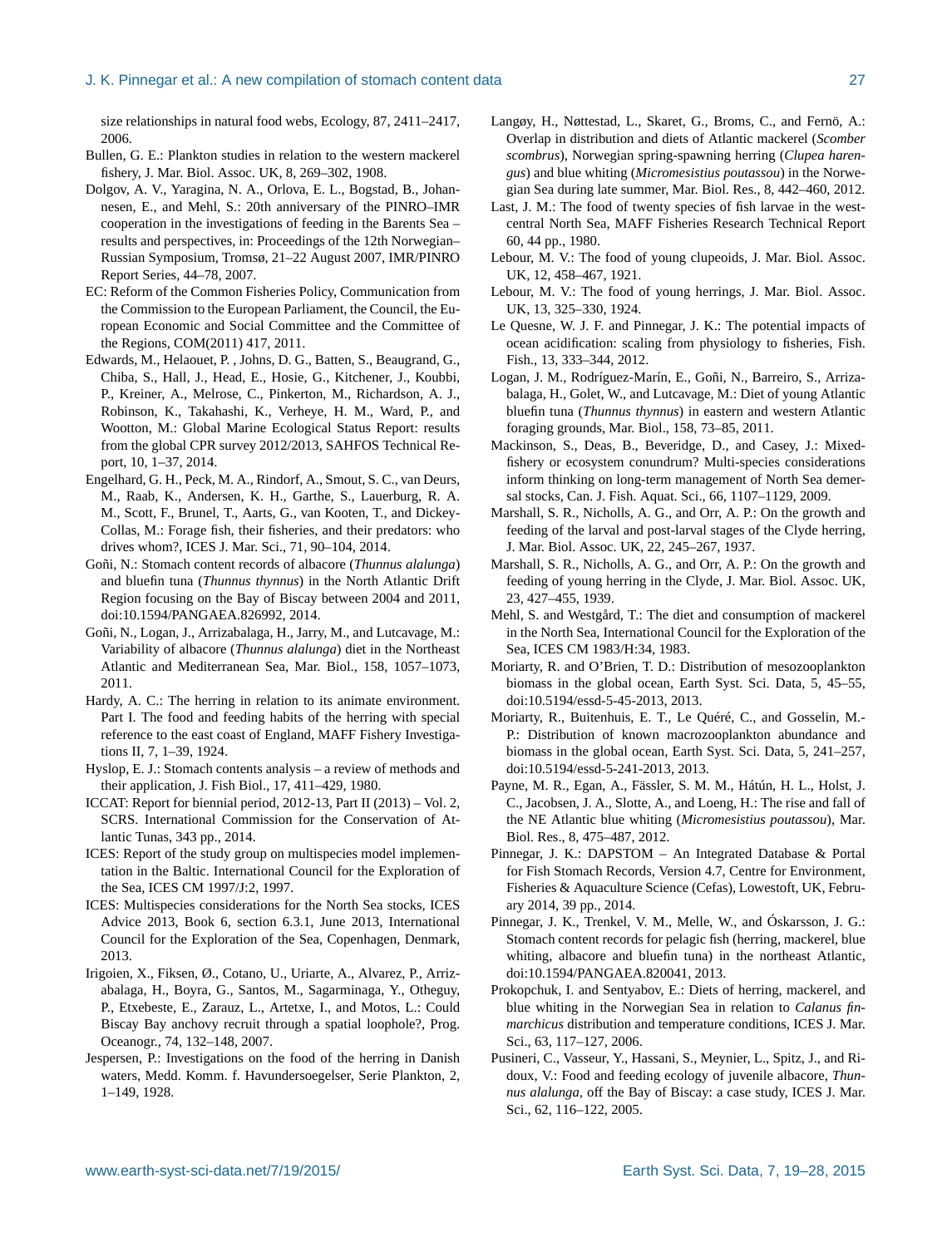size relationships in natural food webs, Ecology, 87, 2411–2417, 2006.

- Bullen, G. E.: Plankton studies in relation to the western mackerel fishery, J. Mar. Biol. Assoc. UK, 8, 269–302, 1908.
- Dolgov, A. V., Yaragina, N. A., Orlova, E. L., Bogstad, B., Johannesen, E., and Mehl, S.: 20th anniversary of the PINRO–IMR cooperation in the investigations of feeding in the Barents Sea – results and perspectives, in: Proceedings of the 12th Norwegian– Russian Symposium, Tromsø, 21–22 August 2007, IMR/PINRO Report Series, 44–78, 2007.
- EC: Reform of the Common Fisheries Policy, Communication from the Commission to the European Parliament, the Council, the European Economic and Social Committee and the Committee of the Regions, COM(2011) 417, 2011.
- Edwards, M., Helaouet, P. , Johns, D. G., Batten, S., Beaugrand, G., Chiba, S., Hall, J., Head, E., Hosie, G., Kitchener, J., Koubbi, P., Kreiner, A., Melrose, C., Pinkerton, M., Richardson, A. J., Robinson, K., Takahashi, K., Verheye, H. M., Ward, P., and Wootton, M.: Global Marine Ecological Status Report: results from the global CPR survey 2012/2013, SAHFOS Technical Report, 10, 1–37, 2014.
- Engelhard, G. H., Peck, M. A., Rindorf, A., Smout, S. C., van Deurs, M., Raab, K., Andersen, K. H., Garthe, S., Lauerburg, R. A. M., Scott, F., Brunel, T., Aarts, G., van Kooten, T., and Dickey-Collas, M.: Forage fish, their fisheries, and their predators: who drives whom?, ICES J. Mar. Sci., 71, 90–104, 2014.
- Goñi, N.: Stomach content records of albacore (*Thunnus alalunga*) and bluefin tuna (*Thunnus thynnus*) in the North Atlantic Drift Region focusing on the Bay of Biscay between 2004 and 2011, doi[:10.1594/PANGAEA.826992,](http://dx.doi.org/10.1594/PANGAEA.826992) 2014.
- Goñi, N., Logan, J., Arrizabalaga, H., Jarry, M., and Lutcavage, M.: Variability of albacore (*Thunnus alalunga*) diet in the Northeast Atlantic and Mediterranean Sea, Mar. Biol., 158, 1057–1073, 2011.
- Hardy, A. C.: The herring in relation to its animate environment. Part I. The food and feeding habits of the herring with special reference to the east coast of England, MAFF Fishery Investigations II, 7, 1–39, 1924.
- Hyslop, E. J.: Stomach contents analysis a review of methods and their application, J. Fish Biol., 17, 411–429, 1980.
- ICCAT: Report for biennial period, 2012-13, Part II (2013) Vol. 2, SCRS. International Commission for the Conservation of Atlantic Tunas, 343 pp., 2014.
- ICES: Report of the study group on multispecies model implementation in the Baltic. International Council for the Exploration of the Sea, ICES CM 1997/J:2, 1997.
- ICES: Multispecies considerations for the North Sea stocks, ICES Advice 2013, Book 6, section 6.3.1, June 2013, International Council for the Exploration of the Sea, Copenhagen, Denmark, 2013.
- Irigoien, X., Fiksen, Ø., Cotano, U., Uriarte, A., Alvarez, P., Arrizabalaga, H., Boyra, G., Santos, M., Sagarminaga, Y., Otheguy, P., Etxebeste, E., Zarauz, L., Artetxe, I., and Motos, L.: Could Biscay Bay anchovy recruit through a spatial loophole?, Prog. Oceanogr., 74, 132–148, 2007.
- Jespersen, P.: Investigations on the food of the herring in Danish waters, Medd. Komm. f. Havundersoegelser, Serie Plankton, 2, 1–149, 1928.
- Langøy, H., Nøttestad, L., Skaret, G., Broms, C., and Fernö, A.: Overlap in distribution and diets of Atlantic mackerel (*Scomber scombrus*), Norwegian spring-spawning herring (*Clupea harengus*) and blue whiting (*Micromesistius poutassou*) in the Norwegian Sea during late summer, Mar. Biol. Res., 8, 442–460, 2012.
- Last, J. M.: The food of twenty species of fish larvae in the westcentral North Sea, MAFF Fisheries Research Technical Report 60, 44 pp., 1980.
- Lebour, M. V.: The food of young clupeoids, J. Mar. Biol. Assoc. UK, 12, 458–467, 1921.
- Lebour, M. V.: The food of young herrings, J. Mar. Biol. Assoc. UK, 13, 325–330, 1924.
- Le Quesne, W. J. F. and Pinnegar, J. K.: The potential impacts of ocean acidification: scaling from physiology to fisheries, Fish. Fish., 13, 333–344, 2012.
- Logan, J. M., Rodríguez-Marín, E., Goñi, N., Barreiro, S., Arrizabalaga, H., Golet, W., and Lutcavage, M.: Diet of young Atlantic bluefin tuna (*Thunnus thynnus*) in eastern and western Atlantic foraging grounds, Mar. Biol., 158, 73–85, 2011.
- Mackinson, S., Deas, B., Beveridge, D., and Casey, J.: Mixedfishery or ecosystem conundrum? Multi-species considerations inform thinking on long-term management of North Sea demersal stocks, Can. J. Fish. Aquat. Sci., 66, 1107–1129, 2009.
- Marshall, S. R., Nicholls, A. G., and Orr, A. P.: On the growth and feeding of the larval and post-larval stages of the Clyde herring, J. Mar. Biol. Assoc. UK, 22, 245–267, 1937.
- Marshall, S. R., Nicholls, A. G., and Orr, A. P.: On the growth and feeding of young herring in the Clyde, J. Mar. Biol. Assoc. UK, 23, 427–455, 1939.
- Mehl, S. and Westgård, T.: The diet and consumption of mackerel in the North Sea, International Council for the Exploration of the Sea, ICES CM 1983/H:34, 1983.
- Moriarty, R. and O'Brien, T. D.: Distribution of mesozooplankton biomass in the global ocean, Earth Syst. Sci. Data, 5, 45–55, doi[:10.5194/essd-5-45-2013,](http://dx.doi.org/10.5194/essd-5-45-2013) 2013.
- Moriarty, R., Buitenhuis, E. T., Le Quéré, C., and Gosselin, M.- P.: Distribution of known macrozooplankton abundance and biomass in the global ocean, Earth Syst. Sci. Data, 5, 241–257, doi[:10.5194/essd-5-241-2013,](http://dx.doi.org/10.5194/essd-5-241-2013) 2013.
- Payne, M. R., Egan, A., Fässler, S. M. M., Hátún, H. L., Holst, J. C., Jacobsen, J. A., Slotte, A., and Loeng, H.: The rise and fall of the NE Atlantic blue whiting (*Micromesistius poutassou*), Mar. Biol. Res., 8, 475–487, 2012.
- Pinnegar, J. K.: DAPSTOM An Integrated Database & Portal for Fish Stomach Records, Version 4.7, Centre for Environment, Fisheries & Aquaculture Science (Cefas), Lowestoft, UK, February 2014, 39 pp., 2014.
- Pinnegar, J. K., Trenkel, V. M., Melle, W., and Óskarsson, J. G.: Stomach content records for pelagic fish (herring, mackerel, blue whiting, albacore and bluefin tuna) in the northeast Atlantic, doi[:10.1594/PANGAEA.820041,](http://dx.doi.org/10.1594/PANGAEA.820041) 2013.
- Prokopchuk, I. and Sentyabov, E.: Diets of herring, mackerel, and blue whiting in the Norwegian Sea in relation to *Calanus finmarchicus* distribution and temperature conditions, ICES J. Mar. Sci., 63, 117–127, 2006.
- Pusineri, C., Vasseur, Y., Hassani, S., Meynier, L., Spitz, J., and Ridoux, V.: Food and feeding ecology of juvenile albacore, *Thunnus alalunga,* off the Bay of Biscay: a case study, ICES J. Mar. Sci., 62, 116–122, 2005.